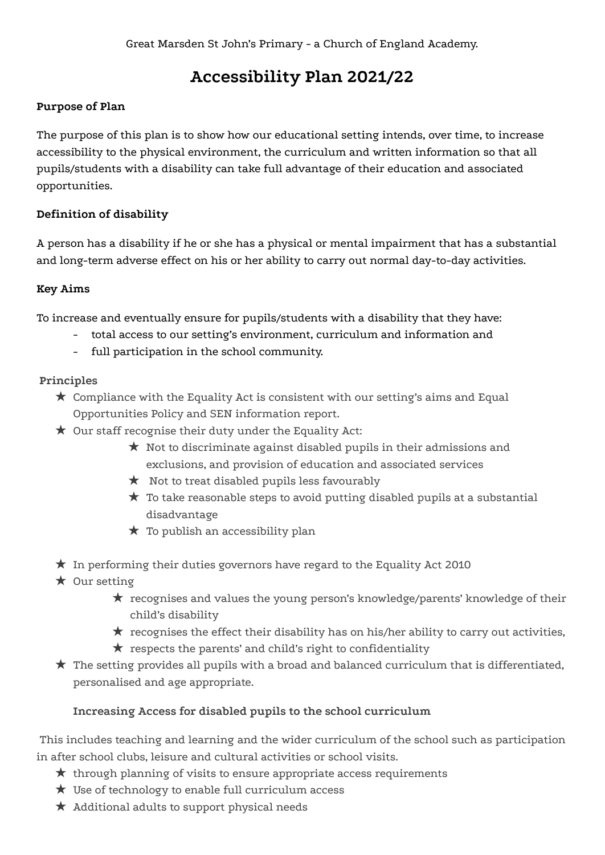# **Accessibility Plan 2021/22**

## **Purpose of Plan**

The purpose of this plan is to show how our educational setting intends, over time, to increase accessibility to the physical environment, the curriculum and written information so that all pupils/students with a disability can take full advantage of their education and associated opportunities.

# **Definition of disability**

A person has a disability if he or she has a physical or mental impairment that has a substantial and long-term adverse effect on his or her ability to carry out normal day-to-day activities.

# **Key Aims**

To increase and eventually ensure for pupils/students with a disability that they have:

- total access to our setting's environment, curriculum and information and
- full participation in the school community.

# **Principles**

- $\star$  Compliance with the Equality Act is consistent with our setting's aims and Equal Opportunities Policy and SEN information report.
- ★ Our staff recognise their duty under the Equality Act:
	- $\star$  Not to discriminate against disabled pupils in their admissions and exclusions, and provision of education and associated services
	- ★ Not to treat disabled pupils less favourably
	- $\star$  To take reasonable steps to avoid putting disabled pupils at a substantial disadvantage
	- $\star$  To publish an accessibility plan
- $\star$  In performing their duties governors have regard to the Equality Act 2010
- $\star$  Our setting
	- ★ recognises and values the young person's knowledge/parents' knowledge of their child's disability
	- $\star$  recognises the effect their disability has on his/her ability to carry out activities,
	- $\star$  respects the parents' and child's right to confidentiality
- $\star$  The setting provides all pupils with a broad and balanced curriculum that is differentiated, personalised and age appropriate.

# **Increasing Access for disabled pupils to the school curriculum**

This includes teaching and learning and the wider curriculum of the school such as participation in after school clubs, leisure and cultural activities or school visits.

- $\star$  through planning of visits to ensure appropriate access requirements
- $\star$  Use of technology to enable full curriculum access
- $\star$  Additional adults to support physical needs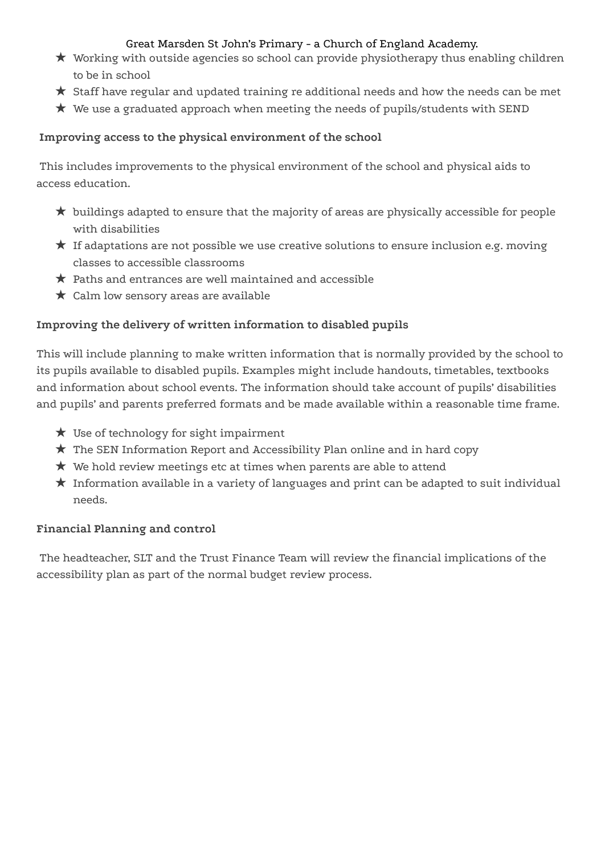## Great Marsden St John's Primary - a Church of England Academy.

- ★ Working with outside agencies so school can provide physiotherapy thus enabling children to be in school
- ★ Staff have regular and updated training re additional needs and how the needs can be met
- $\star$  We use a graduated approach when meeting the needs of pupils/students with SEND

# **Improving access to the physical environment of the school**

This includes improvements to the physical environment of the school and physical aids to access education.

- $\star$  buildings adapted to ensure that the majority of areas are physically accessible for people with disabilities
- $\star$  If adaptations are not possible we use creative solutions to ensure inclusion e.g. moving classes to accessible classrooms
- $\star$  Paths and entrances are well maintained and accessible
- $\star$  Calm low sensory areas are available

# **Improving the delivery of written information to disabled pupils**

This will include planning to make written information that is normally provided by the school to its pupils available to disabled pupils. Examples might include handouts, timetables, textbooks and information about school events. The information should take account of pupils' disabilities and pupils' and parents preferred formats and be made available within a reasonable time frame.

- ★ Use of technology for sight impairment
- $\star$  The SEN Information Report and Accessibility Plan online and in hard copy
- $\star$  We hold review meetings etc at times when parents are able to attend
- $\star$  Information available in a variety of languages and print can be adapted to suit individual needs.

# **Financial Planning and control**

The headteacher, SLT and the Trust Finance Team will review the financial implications of the accessibility plan as part of the normal budget review process.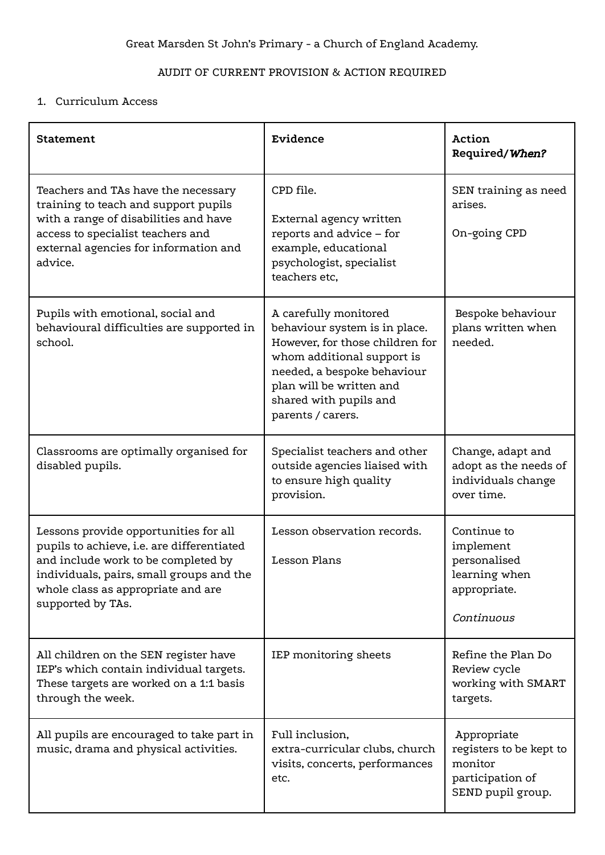# AUDIT OF CURRENT PROVISION & ACTION REQUIRED

## 1. Curriculum Access

| Statement                                                                                                                                                                                                                         | Evidence                                                                                                                                                                                                                          | Action<br>Required/When?                                                                   |
|-----------------------------------------------------------------------------------------------------------------------------------------------------------------------------------------------------------------------------------|-----------------------------------------------------------------------------------------------------------------------------------------------------------------------------------------------------------------------------------|--------------------------------------------------------------------------------------------|
| Teachers and TAs have the necessary<br>training to teach and support pupils<br>with a range of disabilities and have<br>access to specialist teachers and<br>external agencies for information and<br>advice.                     | CPD file.<br>External agency written<br>reports and advice - for<br>example, educational<br>psychologist, specialist<br>teachers etc,                                                                                             | SEN training as need<br>arises.<br>On-going CPD                                            |
| Pupils with emotional, social and<br>behavioural difficulties are supported in<br>school.                                                                                                                                         | A carefully monitored<br>behaviour system is in place.<br>However, for those children for<br>whom additional support is<br>needed, a bespoke behaviour<br>plan will be written and<br>shared with pupils and<br>parents / carers. | Bespoke behaviour<br>plans written when<br>needed.                                         |
| Classrooms are optimally organised for<br>disabled pupils.                                                                                                                                                                        | Specialist teachers and other<br>outside agencies liaised with<br>to ensure high quality<br>provision.                                                                                                                            | Change, adapt and<br>adopt as the needs of<br>individuals change<br>over time.             |
| Lessons provide opportunities for all<br>pupils to achieve, i.e. are differentiated<br>and include work to be completed by<br>individuals, pairs, small groups and the<br>whole class as appropriate and are<br>supported by TAs. | Lesson observation records.<br><b>Lesson Plans</b>                                                                                                                                                                                | Continue to<br>implement<br>personalised<br>learning when<br>appropriate.<br>Continuous    |
| All children on the SEN register have<br>IEP's which contain individual targets.<br>These targets are worked on a 1:1 basis<br>through the week.                                                                                  | IEP monitoring sheets                                                                                                                                                                                                             | Refine the Plan Do<br>Review cycle<br>working with SMART<br>targets.                       |
| All pupils are encouraged to take part in<br>music, drama and physical activities.                                                                                                                                                | Full inclusion,<br>extra-curricular clubs, church<br>visits, concerts, performances<br>etc.                                                                                                                                       | Appropriate<br>registers to be kept to<br>monitor<br>participation of<br>SEND pupil group. |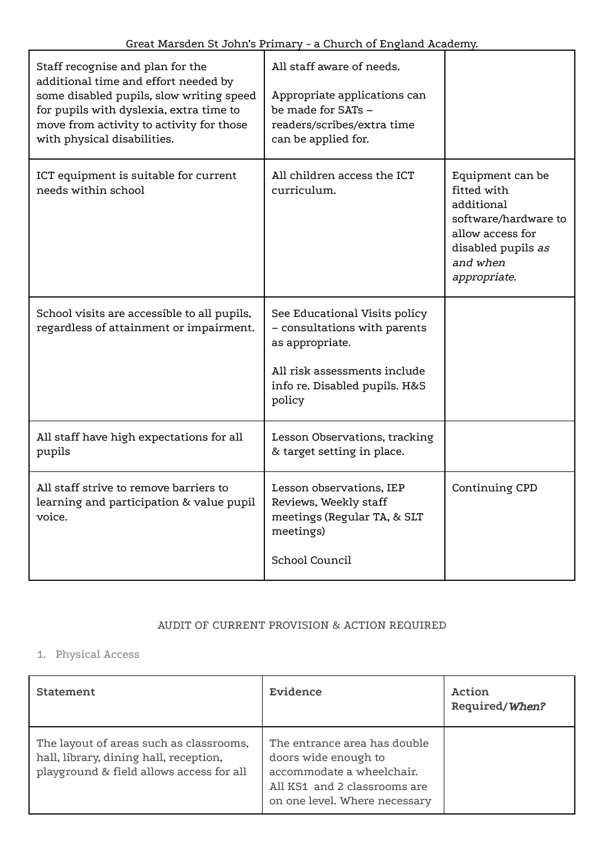| Staff recognise and plan for the<br>additional time and effort needed by<br>some disabled pupils, slow writing speed<br>for pupils with dyslexia, extra time to<br>move from activity to activity for those<br>with physical disabilities. | All staff aware of needs.<br>Appropriate applications can<br>be made for SATs -<br>readers/scribes/extra time<br>can be applied for.                        |                                                                                                                                             |
|--------------------------------------------------------------------------------------------------------------------------------------------------------------------------------------------------------------------------------------------|-------------------------------------------------------------------------------------------------------------------------------------------------------------|---------------------------------------------------------------------------------------------------------------------------------------------|
| ICT equipment is suitable for current<br>needs within school                                                                                                                                                                               | All children access the ICT<br>curriculum.                                                                                                                  | Equipment can be<br>fitted with<br>additional<br>software/hardware to<br>allow access for<br>disabled pupils as<br>and when<br>appropriate. |
| School visits are accessible to all pupils,<br>regardless of attainment or impairment.                                                                                                                                                     | See Educational Visits policy<br>- consultations with parents<br>as appropriate.<br>All risk assessments include<br>info re. Disabled pupils. H&S<br>policy |                                                                                                                                             |
| All staff have high expectations for all<br>pupils                                                                                                                                                                                         | Lesson Observations, tracking<br>& target setting in place.                                                                                                 |                                                                                                                                             |
| All staff strive to remove barriers to<br>learning and participation & value pupil<br>voice.                                                                                                                                               | Lesson observations, IEP<br>Reviews, Weekly staff<br>meetings (Regular TA, & SLT<br>meetings)<br>School Council                                             | Continuing CPD                                                                                                                              |

#### AUDIT OF CURRENT PROVISION & ACTION REQUIRED

# 1. Physical Access

| Statement                                                                                                                     | Evidence                                                                                                                                           | Action<br>Required/When? |
|-------------------------------------------------------------------------------------------------------------------------------|----------------------------------------------------------------------------------------------------------------------------------------------------|--------------------------|
| The layout of areas such as classrooms,<br>hall, library, dining hall, reception,<br>playground & field allows access for all | The entrance area has double<br>doors wide enough to<br>accommodate a wheelchair.<br>All KS1 and 2 classrooms are<br>on one level. Where necessary |                          |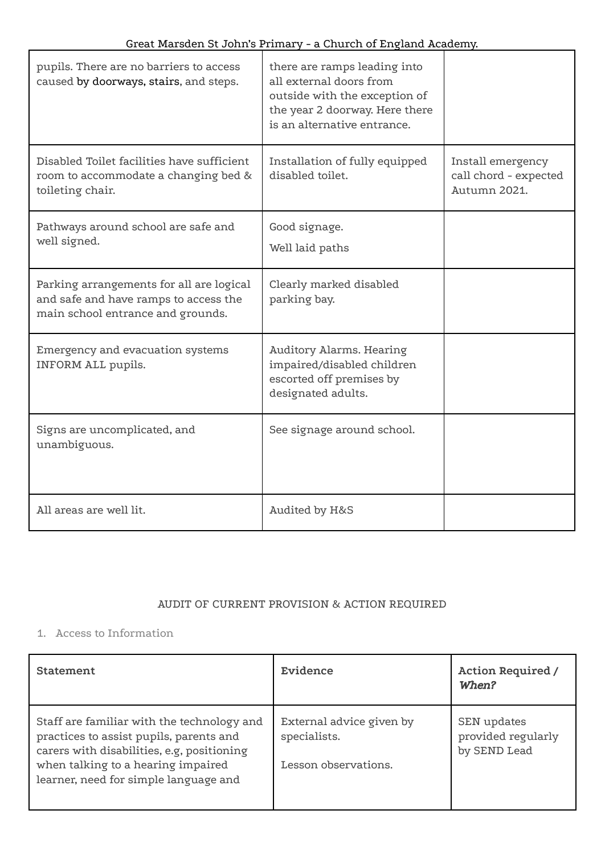| pupils. There are no barriers to access<br>caused by doorways, stairs, and steps.                                      | there are ramps leading into<br>all external doors from<br>outside with the exception of<br>the year 2 doorway. Here there<br>is an alternative entrance. |                                                            |
|------------------------------------------------------------------------------------------------------------------------|-----------------------------------------------------------------------------------------------------------------------------------------------------------|------------------------------------------------------------|
| Disabled Toilet facilities have sufficient<br>room to accommodate a changing bed &<br>toileting chair.                 | Installation of fully equipped<br>disabled toilet.                                                                                                        | Install emergency<br>call chord - expected<br>Autumn 2021. |
| Pathways around school are safe and<br>well signed.                                                                    | Good signage.<br>Well laid paths                                                                                                                          |                                                            |
| Parking arrangements for all are logical<br>and safe and have ramps to access the<br>main school entrance and grounds. | Clearly marked disabled<br>parking bay.                                                                                                                   |                                                            |
| Emergency and evacuation systems<br>INFORM ALL pupils.                                                                 | Auditory Alarms. Hearing<br>impaired/disabled children<br>escorted off premises by<br>designated adults.                                                  |                                                            |
| Signs are uncomplicated, and<br>unambiguous.                                                                           | See signage around school.                                                                                                                                |                                                            |
| All areas are well lit.                                                                                                | Audited by H&S                                                                                                                                            |                                                            |

# AUDIT OF CURRENT PROVISION & ACTION REQUIRED

# 1. Access to Information

| Statement                                                                                                                                                                                                          | Evidence                                                         | <b>Action Required /</b><br>When?                 |
|--------------------------------------------------------------------------------------------------------------------------------------------------------------------------------------------------------------------|------------------------------------------------------------------|---------------------------------------------------|
| Staff are familiar with the technology and<br>practices to assist pupils, parents and<br>carers with disabilities, e.g, positioning<br>when talking to a hearing impaired<br>learner, need for simple language and | External advice given by<br>specialists.<br>Lesson observations. | SEN updates<br>provided regularly<br>by SEND Lead |